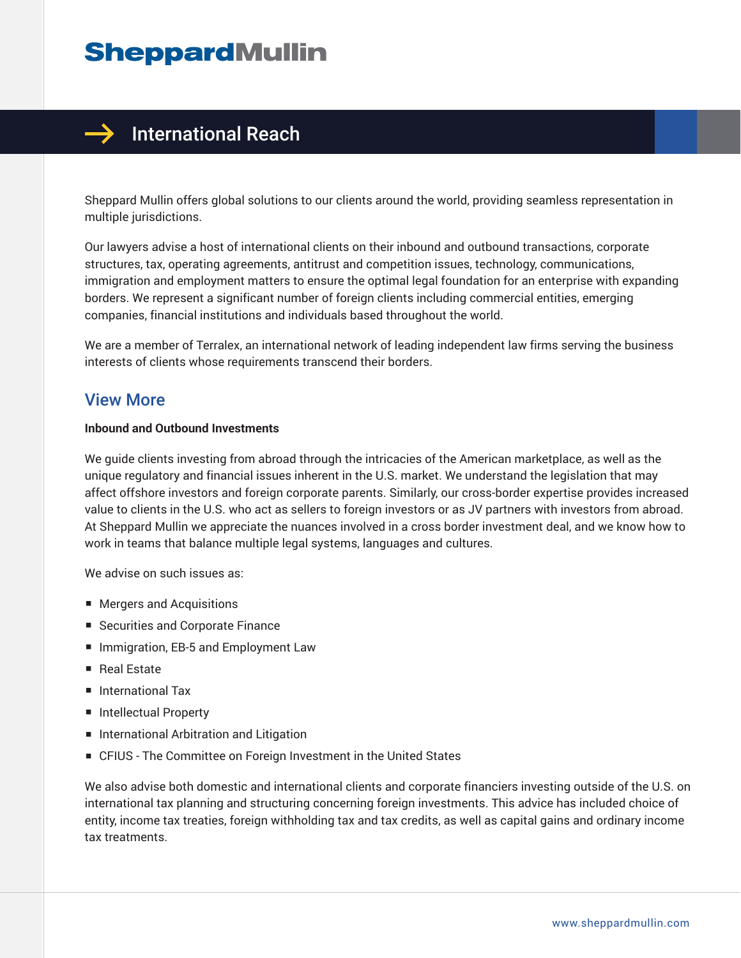# **SheppardMullin**



## $\rightarrow$  International Reach

Sheppard Mullin offers global solutions to our clients around the world, providing seamless representation in multiple jurisdictions.

Our lawyers advise a host of international clients on their inbound and outbound transactions, corporate structures, tax, operating agreements, antitrust and competition issues, technology, communications, immigration and employment matters to ensure the optimal legal foundation for an enterprise with expanding borders. We represent a significant number of foreign clients including commercial entities, emerging companies, financial institutions and individuals based throughout the world.

We are a member of Terralex, an international network of leading independent law firms serving the business interests of clients whose requirements transcend their borders.

## View More

#### **Inbound and Outbound Investments**

We guide clients investing from abroad through the intricacies of the American marketplace, as well as the unique regulatory and financial issues inherent in the U.S. market. We understand the legislation that may affect offshore investors and foreign corporate parents. Similarly, our cross-border expertise provides increased value to clients in the U.S. who act as sellers to foreign investors or as JV partners with investors from abroad. At Sheppard Mullin we appreciate the nuances involved in a cross border investment deal, and we know how to work in teams that balance multiple legal systems, languages and cultures.

We advise on such issues as:

- Mergers and Acquisitions
- Securities and Corporate Finance
- Immigration, EB-5 and Employment Law
- Real Estate
- International Tax
- Intellectual Property
- International Arbitration and Litigation
- CFIUS The Committee on Foreign Investment in the United States

We also advise both domestic and international clients and corporate financiers investing outside of the U.S. on international tax planning and structuring concerning foreign investments. This advice has included choice of entity, income tax treaties, foreign withholding tax and tax credits, as well as capital gains and ordinary income tax treatments.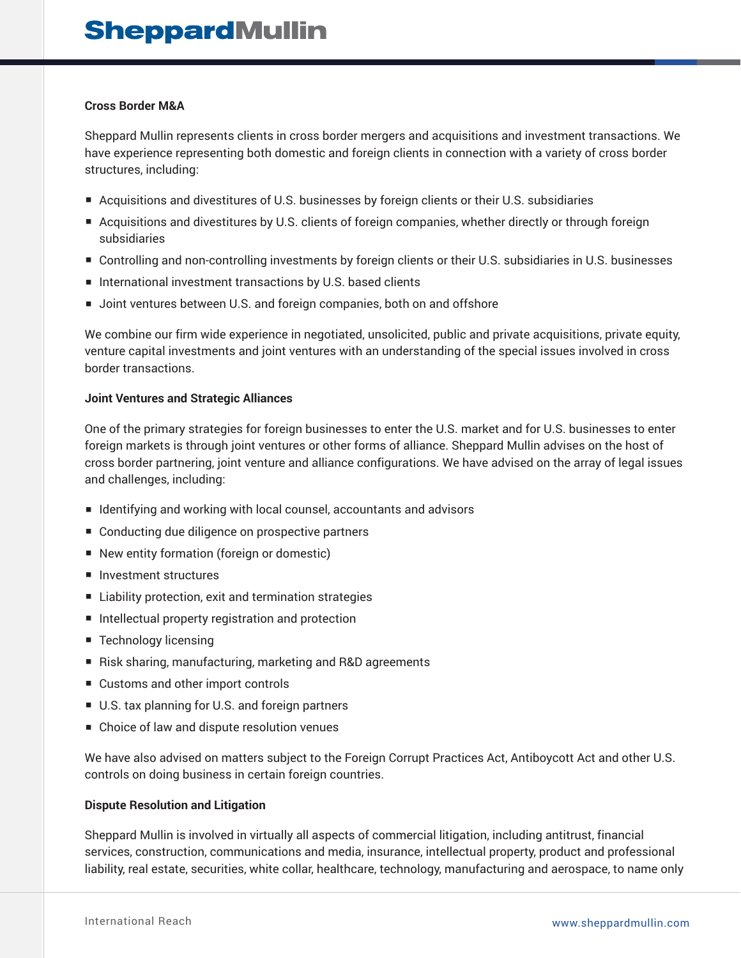#### **Cross Border M&A**

Sheppard Mullin represents clients in cross border mergers and acquisitions and investment transactions. We have experience representing both domestic and foreign clients in connection with a variety of cross border structures, including:

- Acquisitions and divestitures of U.S. businesses by foreign clients or their U.S. subsidiaries
- Acquisitions and divestitures by U.S. clients of foreign companies, whether directly or through foreign subsidiaries
- Controlling and non-controlling investments by foreign clients or their U.S. subsidiaries in U.S. businesses
- International investment transactions by U.S. based clients
- Joint ventures between U.S. and foreign companies, both on and offshore

We combine our firm wide experience in negotiated, unsolicited, public and private acquisitions, private equity, venture capital investments and joint ventures with an understanding of the special issues involved in cross border transactions.

#### **Joint Ventures and Strategic Alliances**

One of the primary strategies for foreign businesses to enter the U.S. market and for U.S. businesses to enter foreign markets is through joint ventures or other forms of alliance. Sheppard Mullin advises on the host of cross border partnering, joint venture and alliance configurations. We have advised on the array of legal issues and challenges, including:

- Identifying and working with local counsel, accountants and advisors
- Conducting due diligence on prospective partners
- New entity formation (foreign or domestic)
- Investment structures
- Liability protection, exit and termination strategies
- Intellectual property registration and protection
- Technology licensing
- Risk sharing, manufacturing, marketing and R&D agreements
- Customs and other import controls
- U.S. tax planning for U.S. and foreign partners
- Choice of law and dispute resolution venues

We have also advised on matters subject to the Foreign Corrupt Practices Act, Antiboycott Act and other U.S. controls on doing business in certain foreign countries.

#### **Dispute Resolution and Litigation**

Sheppard Mullin is involved in virtually all aspects of commercial litigation, including antitrust, financial services, construction, communications and media, insurance, intellectual property, product and professional liability, real estate, securities, white collar, healthcare, technology, manufacturing and aerospace, to name only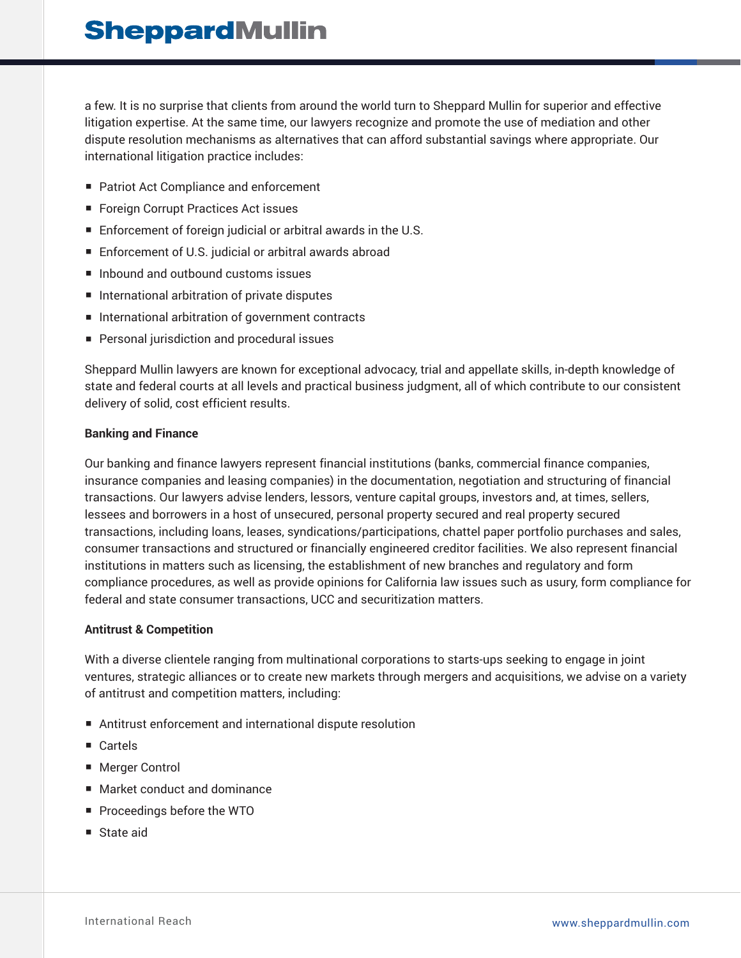a few. It is no surprise that clients from around the world turn to Sheppard Mullin for superior and effective litigation expertise. At the same time, our lawyers recognize and promote the use of mediation and other dispute resolution mechanisms as alternatives that can afford substantial savings where appropriate. Our international litigation practice includes:

- Patriot Act Compliance and enforcement
- Foreign Corrupt Practices Act issues
- Enforcement of foreign judicial or arbitral awards in the U.S.
- Enforcement of U.S. judicial or arbitral awards abroad
- Inbound and outbound customs issues
- International arbitration of private disputes
- International arbitration of government contracts
- Personal jurisdiction and procedural issues

Sheppard Mullin lawyers are known for exceptional advocacy, trial and appellate skills, in-depth knowledge of state and federal courts at all levels and practical business judgment, all of which contribute to our consistent delivery of solid, cost efficient results.

#### **Banking and Finance**

Our banking and finance lawyers represent financial institutions (banks, commercial finance companies, insurance companies and leasing companies) in the documentation, negotiation and structuring of financial transactions. Our lawyers advise lenders, lessors, venture capital groups, investors and, at times, sellers, lessees and borrowers in a host of unsecured, personal property secured and real property secured transactions, including loans, leases, syndications/participations, chattel paper portfolio purchases and sales, consumer transactions and structured or financially engineered creditor facilities. We also represent financial institutions in matters such as licensing, the establishment of new branches and regulatory and form compliance procedures, as well as provide opinions for California law issues such as usury, form compliance for federal and state consumer transactions, UCC and securitization matters.

#### **Antitrust & Competition**

With a diverse clientele ranging from multinational corporations to starts-ups seeking to engage in joint ventures, strategic alliances or to create new markets through mergers and acquisitions, we advise on a variety of antitrust and competition matters, including:

- Antitrust enforcement and international dispute resolution
- Cartels
- Merger Control
- Market conduct and dominance
- Proceedings before the WTO
- State aid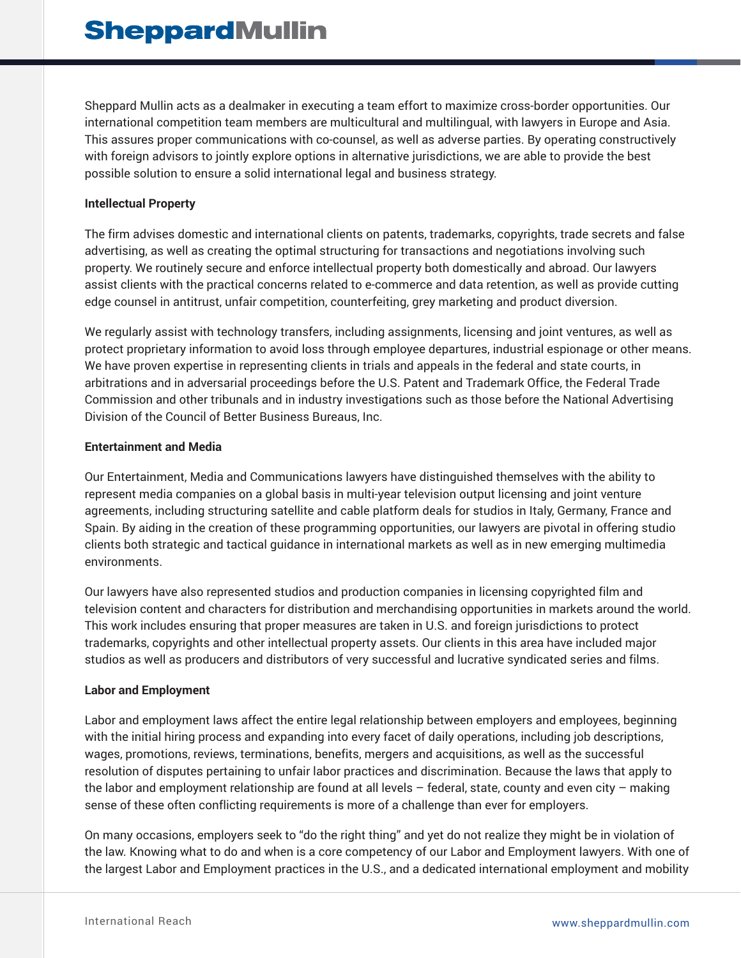Sheppard Mullin acts as a dealmaker in executing a team effort to maximize cross-border opportunities. Our international competition team members are multicultural and multilingual, with lawyers in Europe and Asia. This assures proper communications with co-counsel, as well as adverse parties. By operating constructively with foreign advisors to jointly explore options in alternative jurisdictions, we are able to provide the best possible solution to ensure a solid international legal and business strategy.

#### **Intellectual Property**

The firm advises domestic and international clients on patents, trademarks, copyrights, trade secrets and false advertising, as well as creating the optimal structuring for transactions and negotiations involving such property. We routinely secure and enforce intellectual property both domestically and abroad. Our lawyers assist clients with the practical concerns related to e-commerce and data retention, as well as provide cutting edge counsel in antitrust, unfair competition, counterfeiting, grey marketing and product diversion.

We regularly assist with technology transfers, including assignments, licensing and joint ventures, as well as protect proprietary information to avoid loss through employee departures, industrial espionage or other means. We have proven expertise in representing clients in trials and appeals in the federal and state courts, in arbitrations and in adversarial proceedings before the U.S. Patent and Trademark Office, the Federal Trade Commission and other tribunals and in industry investigations such as those before the National Advertising Division of the Council of Better Business Bureaus, Inc.

#### **Entertainment and Media**

Our Entertainment, Media and Communications lawyers have distinguished themselves with the ability to represent media companies on a global basis in multi-year television output licensing and joint venture agreements, including structuring satellite and cable platform deals for studios in Italy, Germany, France and Spain. By aiding in the creation of these programming opportunities, our lawyers are pivotal in offering studio clients both strategic and tactical guidance in international markets as well as in new emerging multimedia environments.

Our lawyers have also represented studios and production companies in licensing copyrighted film and television content and characters for distribution and merchandising opportunities in markets around the world. This work includes ensuring that proper measures are taken in U.S. and foreign jurisdictions to protect trademarks, copyrights and other intellectual property assets. Our clients in this area have included major studios as well as producers and distributors of very successful and lucrative syndicated series and films.

#### **Labor and Employment**

Labor and employment laws affect the entire legal relationship between employers and employees, beginning with the initial hiring process and expanding into every facet of daily operations, including job descriptions, wages, promotions, reviews, terminations, benefits, mergers and acquisitions, as well as the successful resolution of disputes pertaining to unfair labor practices and discrimination. Because the laws that apply to the labor and employment relationship are found at all levels – federal, state, county and even city – making sense of these often conflicting requirements is more of a challenge than ever for employers.

On many occasions, employers seek to "do the right thing" and yet do not realize they might be in violation of the law. Knowing what to do and when is a core competency of our Labor and Employment lawyers. With one of the largest Labor and Employment practices in the U.S., and a dedicated international employment and mobility